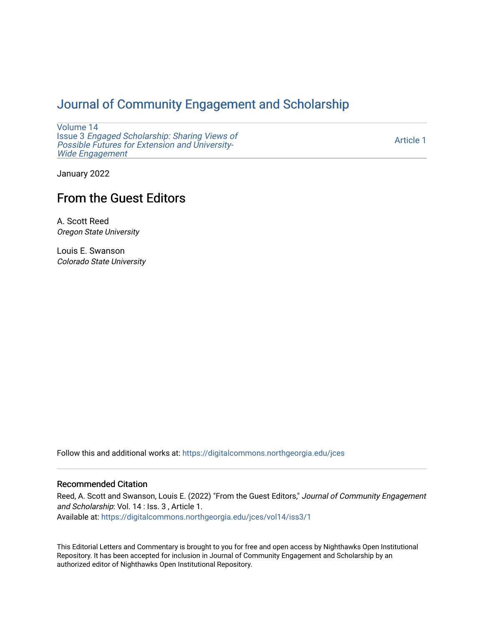## [Journal of Community Engagement and Scholarship](https://digitalcommons.northgeorgia.edu/jces)

[Volume 14](https://digitalcommons.northgeorgia.edu/jces/vol14) Issue 3 [Engaged Scholarship: Sharing Views of](https://digitalcommons.northgeorgia.edu/jces/vol14/iss3) [Possible Futures for Extension and University-](https://digitalcommons.northgeorgia.edu/jces/vol14/iss3)[Wide Engagement](https://digitalcommons.northgeorgia.edu/jces/vol14/iss3) 

[Article 1](https://digitalcommons.northgeorgia.edu/jces/vol14/iss3/1) 

January 2022

# From the Guest Editors

A. Scott Reed Oregon State University

Louis E. Swanson Colorado State University

Follow this and additional works at: [https://digitalcommons.northgeorgia.edu/jces](https://digitalcommons.northgeorgia.edu/jces?utm_source=digitalcommons.northgeorgia.edu%2Fjces%2Fvol14%2Fiss3%2F1&utm_medium=PDF&utm_campaign=PDFCoverPages)

#### Recommended Citation

Reed, A. Scott and Swanson, Louis E. (2022) "From the Guest Editors," Journal of Community Engagement and Scholarship: Vol. 14 : Iss. 3 , Article 1. Available at: [https://digitalcommons.northgeorgia.edu/jces/vol14/iss3/1](https://digitalcommons.northgeorgia.edu/jces/vol14/iss3/1?utm_source=digitalcommons.northgeorgia.edu%2Fjces%2Fvol14%2Fiss3%2F1&utm_medium=PDF&utm_campaign=PDFCoverPages) 

This Editorial Letters and Commentary is brought to you for free and open access by Nighthawks Open Institutional Repository. It has been accepted for inclusion in Journal of Community Engagement and Scholarship by an authorized editor of Nighthawks Open Institutional Repository.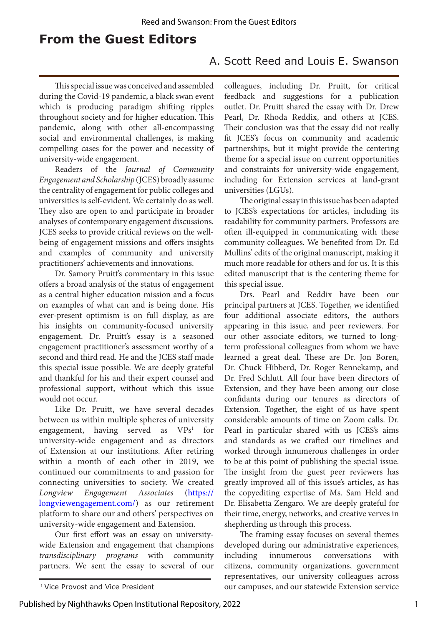### **From the Guest Editors**

### A. Scott Reed and Louis E. Swanson

This special issue was conceived and assembled during the Covid-19 pandemic, a black swan event which is producing paradigm shifting ripples throughout society and for higher education. This pandemic, along with other all-encompassing social and environmental challenges, is making compelling cases for the power and necessity of university-wide engagement.

Readers of the *Journal of Community Engagement and Scholarship* (JCES) broadly assume the centrality of engagement for public colleges and universities is self-evident. We certainly do as well. They also are open to and participate in broader analyses of contemporary engagement discussions. JCES seeks to provide critical reviews on the wellbeing of engagement missions and offers insights and examples of community and university practitioners' achievements and innovations.

Dr. Samory Pruitt's commentary in this issue offers a broad analysis of the status of engagement as a central higher education mission and a focus on examples of what can and is being done. His ever-present optimism is on full display, as are his insights on community-focused university engagement. Dr. Pruitt's essay is a seasoned engagement practitioner's assessment worthy of a second and third read. He and the JCES staff made this special issue possible. We are deeply grateful and thankful for his and their expert counsel and professional support, without which this issue would not occur.

Like Dr. Pruitt, we have several decades between us within multiple spheres of university engagement, having served as VPs<sup>1</sup> for university-wide engagement and as directors of Extension at our institutions. After retiring within a month of each other in 2019, we continued our commitments to and passion for connecting universities to society. We created *Longview Engagement Associates* [\(https://](https://longviewengagement.com/) [longviewengagement.com/\)](https://longviewengagement.com/) as our retirement platform to share our and others' perspectives on university-wide engagement and Extension.

Our first effort was an essay on universitywide Extension and engagement that champions *transdisciplinary programs* with community partners. We sent the essay to several of our colleagues, including Dr. Pruitt, for critical feedback and suggestions for a publication outlet. Dr. Pruitt shared the essay with Dr. Drew Pearl, Dr. Rhoda Reddix, and others at JCES. Their conclusion was that the essay did not really fit JCES's focus on community and academic partnerships, but it might provide the centering theme for a special issue on current opportunities and constraints for university-wide engagement, including for Extension services at land-grant universities (LGUs).

The original essay in this issue has been adapted to JCES's expectations for articles, including its readability for community partners. Professors are often ill-equipped in communicating with these community colleagues. We benefited from Dr. Ed Mullins' edits of the original manuscript, making it much more readable for others and for us. It is this edited manuscript that is the centering theme for this special issue.

Drs. Pearl and Reddix have been our principal partners at JCES. Together, we identified four additional associate editors, the authors appearing in this issue, and peer reviewers. For our other associate editors, we turned to longterm professional colleagues from whom we have learned a great deal. These are Dr. Jon Boren, Dr. Chuck Hibberd, Dr. Roger Rennekamp, and Dr. Fred Schlutt. All four have been directors of Extension, and they have been among our close confidants during our tenures as directors of Extension. Together, the eight of us have spent considerable amounts of time on Zoom calls. Dr. Pearl in particular shared with us JCES's aims and standards as we crafted our timelines and worked through innumerous challenges in order to be at this point of publishing the special issue. The insight from the guest peer reviewers has greatly improved all of this issue's articles, as has the copyediting expertise of Ms. Sam Held and Dr. Elisabetta Zengaro. We are deeply grateful for their time, energy, networks, and creative verves in shepherding us through this process.

The framing essay focuses on several themes developed during our administrative experiences, including innumerous conversations with citizens, community organizations, government representatives, our university colleagues across <sup>1</sup> Vice Provost and Vice President **1** Vice Provost and Vice President **1** Vice Provost and Vice President